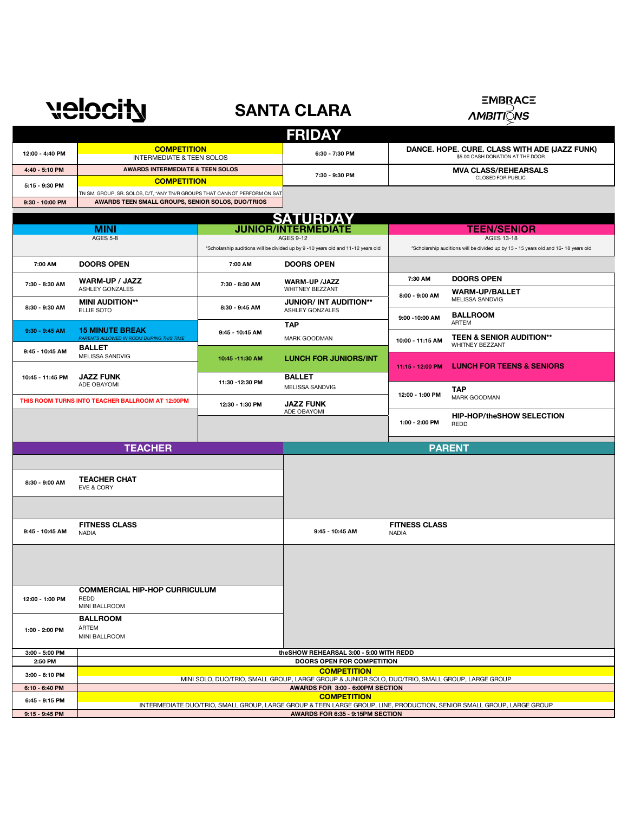## velocity

## **SANTA CLARA**

**EMBRACE** 

*AMBITIQNS* 

|                                                                                  |                                                                                                                                                      |                                                                                  | <b>FRIDAY</b>                                           |                                                                                   |                                                                                     |
|----------------------------------------------------------------------------------|------------------------------------------------------------------------------------------------------------------------------------------------------|----------------------------------------------------------------------------------|---------------------------------------------------------|-----------------------------------------------------------------------------------|-------------------------------------------------------------------------------------|
| 12:00 - 4:40 PM                                                                  | <b>COMPETITION</b><br><b>INTERMEDIATE &amp; TEEN SOLOS</b>                                                                                           |                                                                                  | 6:30 - 7:30 PM                                          | DANCE. HOPE. CURE. CLASS WITH ADE (JAZZ FUNK)<br>\$5.00 CASH DONATION AT THE DOOR |                                                                                     |
| 4:40 - 5:10 PM                                                                   |                                                                                                                                                      | <b>AWARDS INTERMEDIATE &amp; TEEN SOLOS</b>                                      |                                                         |                                                                                   | <b>MVA CLASS/REHEARSALS</b>                                                         |
| 5:15 - 9:30 PM                                                                   | <b>COMPETITION</b><br>TN SM. GROUP, SR. SOLOS, D/T, *ANY TN/R GROUPS THAT CANNOT PERFORM ON SAT<br>AWARDS TEEN SMALL GROUPS, SENIOR SOLOS, DUO/TRIOS |                                                                                  | 7:30 - 9:30 PM                                          |                                                                                   | CLOSED FOR PUBLIC                                                                   |
| 9:30 - 10:00 PM                                                                  |                                                                                                                                                      |                                                                                  |                                                         |                                                                                   |                                                                                     |
|                                                                                  |                                                                                                                                                      |                                                                                  |                                                         |                                                                                   |                                                                                     |
|                                                                                  |                                                                                                                                                      |                                                                                  | <b>SATURDAY</b><br><b>JUNIOR/INTERMEDIATE</b>           |                                                                                   | <b>TEEN/SENIOR</b>                                                                  |
|                                                                                  | <b>MINI</b><br><b>AGES 5-8</b>                                                                                                                       |                                                                                  | <b>AGES 9-12</b>                                        | AGES 13-18                                                                        |                                                                                     |
|                                                                                  |                                                                                                                                                      | *Scholarship auditions will be divided up by 9 -10 years old and 11-12 years old |                                                         |                                                                                   | *Scholarship auditions will be divided up by 13 - 15 years old and 16- 18 years old |
| 7:00 AM                                                                          | <b>DOORS OPEN</b>                                                                                                                                    | 7:00 AM                                                                          | <b>DOORS OPEN</b>                                       |                                                                                   |                                                                                     |
| 7:30 - 8:30 AM                                                                   | <b>WARM-UP / JAZZ</b><br><b>ASHLEY GONZALES</b>                                                                                                      | 7:30 - 8:30 AM                                                                   | <b>WARM-UP /JAZZ</b><br>WHITNEY BEZZANT                 | 7:30 AM                                                                           | <b>DOORS OPEN</b><br><b>WARM-UP/BALLET</b>                                          |
| 8:30 - 9:30 AM                                                                   | <b>MINI AUDITION**</b><br>ELLIE SOTO                                                                                                                 | 8:30 - 9:45 AM                                                                   | <b>JUNIOR/ INT AUDITION**</b><br><b>ASHLEY GONZALES</b> | 8:00 - 9:00 AM                                                                    | MELISSA SANDVIG                                                                     |
|                                                                                  |                                                                                                                                                      |                                                                                  | <b>TAP</b>                                              | 9:00 - 10:00 AM                                                                   | <b>BALLROOM</b><br>ARTEM                                                            |
| $9:30 - 9:45$ AM                                                                 | <b>15 MINUTE BREAK</b><br>PARENTS ALLOWED IN ROOM DURING THIS TIME                                                                                   | 9:45 - 10:45 AM                                                                  | MARK GOODMAN                                            | 10:00 - 11:15 AM                                                                  | TEEN & SENIOR AUDITION**<br>WHITNEY BEZZANT                                         |
| 9:45 - 10:45 AM                                                                  | <b>BALLET</b><br>MELISSA SANDVIG                                                                                                                     | 10:45 - 11:30 AM                                                                 | <b>LUNCH FOR JUNIORS/INT</b>                            | 11:15 - 12:00 PM                                                                  | <b>LUNCH FOR TEENS &amp; SENIORS</b>                                                |
| 10:45 - 11:45 PM                                                                 | <b>JAZZ FUNK</b>                                                                                                                                     |                                                                                  | <b>BALLET</b>                                           |                                                                                   |                                                                                     |
|                                                                                  | ADE OBAYOMI                                                                                                                                          | 11:30 - 12:30 PM                                                                 | MELISSA SANDVIG                                         | 12:00 - 1:00 PM                                                                   | TAP<br>MARK GOODMAN                                                                 |
|                                                                                  | THIS ROOM TURNS INTO TEACHER BALLROOM AT 12:00PM                                                                                                     | 12:30 - 1:30 PM                                                                  | <b>JAZZ FUNK</b><br>ADE OBAYOMI                         |                                                                                   |                                                                                     |
|                                                                                  |                                                                                                                                                      |                                                                                  |                                                         | 1:00 - 2:00 PM                                                                    | <b>HIP-HOP/theSHOW SELECTION</b><br>REDD                                            |
|                                                                                  | <b>TEACHER</b>                                                                                                                                       |                                                                                  |                                                         |                                                                                   | <b>PARENT</b>                                                                       |
|                                                                                  |                                                                                                                                                      |                                                                                  |                                                         |                                                                                   |                                                                                     |
| <b>TEACHER CHAT</b><br>8:30 - 9:00 AM<br>EVE & CORY                              |                                                                                                                                                      |                                                                                  |                                                         |                                                                                   |                                                                                     |
|                                                                                  |                                                                                                                                                      |                                                                                  |                                                         |                                                                                   |                                                                                     |
| 9:45 - 10:45 AM                                                                  | <b>FITNESS CLASS</b><br><b>NADIA</b>                                                                                                                 |                                                                                  | 9:45 - 10:45 AM                                         | <b>FITNESS CLASS</b><br><b>NADIA</b>                                              |                                                                                     |
|                                                                                  |                                                                                                                                                      |                                                                                  |                                                         |                                                                                   |                                                                                     |
|                                                                                  |                                                                                                                                                      |                                                                                  |                                                         |                                                                                   |                                                                                     |
| <b>COMMERCIAL HIP-HOP CURRICULUM</b><br>12:00 - 1:00 PM<br>REDD<br>MINI BALLROOM |                                                                                                                                                      |                                                                                  |                                                         |                                                                                   |                                                                                     |
|                                                                                  | <b>BALLROOM</b>                                                                                                                                      |                                                                                  |                                                         |                                                                                   |                                                                                     |
| 1:00 - 2:00 PM                                                                   | ARTEM<br>MINI BALLROOM                                                                                                                               |                                                                                  |                                                         |                                                                                   |                                                                                     |
| 3:00 - 5:00 PM                                                                   |                                                                                                                                                      | theSHOW REHEARSAL 3:00 - 5:00 WITH REDD                                          |                                                         |                                                                                   |                                                                                     |
| 2:50 PM                                                                          | DOORS OPEN FOR COMPETITION<br><b>COMPETITION</b>                                                                                                     |                                                                                  |                                                         |                                                                                   |                                                                                     |
| 3:00 - 6:10 PM                                                                   | MINI SOLO, DUO/TRIO, SMALL GROUP, LARGE GROUP & JUNIOR SOLO, DUO/TRIO, SMALL GROUP, LARGE GROUP                                                      |                                                                                  |                                                         |                                                                                   |                                                                                     |
| 6:10 - 6:40 PM                                                                   | AWARDS FOR 3:00 - 6:00PM SECTION<br><b>COMPETITION</b>                                                                                               |                                                                                  |                                                         |                                                                                   |                                                                                     |
| 6:45 - 9:15 PM                                                                   | INTERMEDIATE DUO/TRIO, SMALL GROUP, LARGE GROUP & TEEN LARGE GROUP, LINE, PRODUCTION, SENIOR SMALL GROUP, LARGE GROUP                                |                                                                                  |                                                         |                                                                                   |                                                                                     |
| 9:15 - 9:45 PM                                                                   | AWARDS FOR 6:35 - 9:15PM SECTION                                                                                                                     |                                                                                  |                                                         |                                                                                   |                                                                                     |